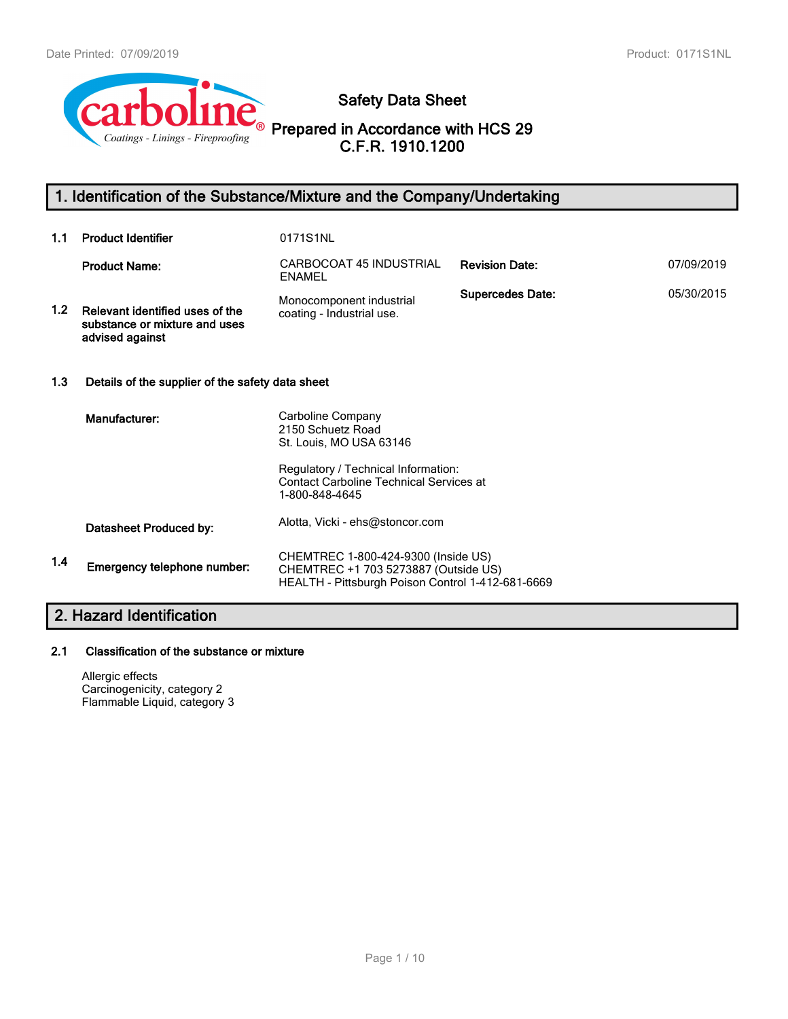

**Safety Data Sheet**

**Prepared in Accordance with HCS 29 C.F.R. 1910.1200**

# **1. Identification of the Substance/Mixture and the Company/Undertaking**

| 1.1           | <b>Product Identifier</b>                                                           | 0171S1NL                                                                                                                         |                         |            |
|---------------|-------------------------------------------------------------------------------------|----------------------------------------------------------------------------------------------------------------------------------|-------------------------|------------|
|               | <b>Product Name:</b>                                                                | CARBOCOAT 45 INDUSTRIAL<br><b>ENAMEL</b>                                                                                         | <b>Revision Date:</b>   | 07/09/2019 |
| 1.2           | Relevant identified uses of the<br>substance or mixture and uses<br>advised against | Monocomponent industrial<br>coating - Industrial use.                                                                            | <b>Supercedes Date:</b> | 05/30/2015 |
| 1.3           | Details of the supplier of the safety data sheet                                    |                                                                                                                                  |                         |            |
|               | Manufacturer:                                                                       | Carboline Company<br>2150 Schuetz Road<br>St. Louis, MO USA 63146<br>Regulatory / Technical Information:                         |                         |            |
|               |                                                                                     | <b>Contact Carboline Technical Services at</b><br>1-800-848-4645                                                                 |                         |            |
|               | Datasheet Produced by:                                                              | Alotta, Vicki - ehs@stoncor.com                                                                                                  |                         |            |
| $1.4^{\circ}$ | Emergency telephone number:                                                         | CHEMTREC 1-800-424-9300 (Inside US)<br>CHEMTREC +1 703 5273887 (Outside US)<br>HEALTH - Pittsburgh Poison Control 1-412-681-6669 |                         |            |
|               | 2. Hazard Identification                                                            |                                                                                                                                  |                         |            |

# **2.1 Classification of the substance or mixture**

Allergic effects Carcinogenicity, category 2 Flammable Liquid, category 3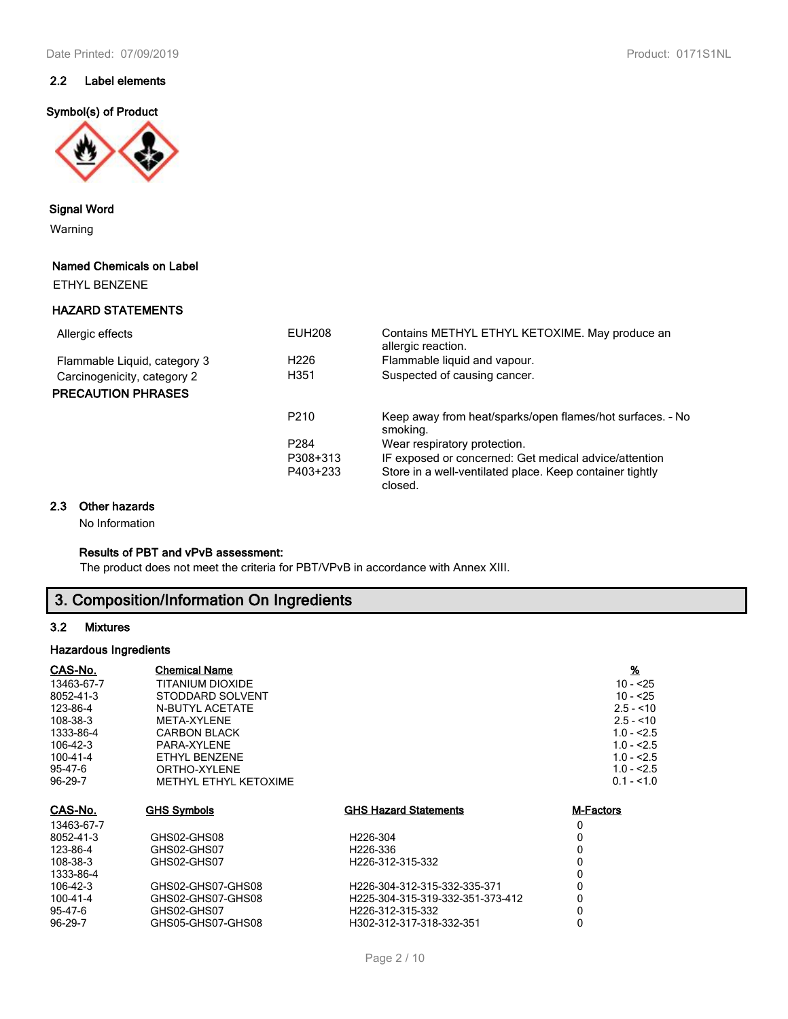## **2.2 Label elements**

## **Symbol(s) of Product**



**Signal Word**

Warning

## **Named Chemicals on Label**

ETHYL BENZENE

## **HAZARD STATEMENTS**

| <b>EUH208</b>    | Contains METHYL ETHYL KETOXIME. May produce an<br>allergic reaction.  |
|------------------|-----------------------------------------------------------------------|
| H <sub>226</sub> | Flammable liquid and vapour.                                          |
| H351             | Suspected of causing cancer.                                          |
|                  |                                                                       |
| P <sub>210</sub> | Keep away from heat/sparks/open flames/hot surfaces. - No<br>smoking. |
| P <sub>284</sub> | Wear respiratory protection.                                          |
| P308+313         | IF exposed or concerned: Get medical advice/attention                 |
| P403+233         | Store in a well-ventilated place. Keep container tightly<br>closed.   |
|                  |                                                                       |

#### **2.3 Other hazards**

No Information

## **Results of PBT and vPvB assessment:**

The product does not meet the criteria for PBT/VPvB in accordance with Annex XIII.

# **3. Composition/Information On Ingredients**

## **3.2 Mixtures**

## **Hazardous Ingredients**

| CAS-No.        | <b>Chemical Name</b>   |                                  | $\frac{9}{6}$    |
|----------------|------------------------|----------------------------------|------------------|
| 13463-67-7     | TITANIUM DIOXIDE       |                                  | $10 - 25$        |
| 8052-41-3      | STODDARD SOLVENT       |                                  | $10 - 25$        |
| 123-86-4       | <b>N-BUTYL ACETATE</b> |                                  | $2.5 - 10$       |
| 108-38-3       | META-XYLENE            |                                  | $2.5 - 10$       |
| 1333-86-4      | <b>CARBON BLACK</b>    |                                  | $1.0 - 2.5$      |
| 106-42-3       | PARA-XYLENE            |                                  | $1.0 - 2.5$      |
| $100 - 41 - 4$ | ETHYL BENZENE          |                                  | $1.0 - 2.5$      |
| 95-47-6        | ORTHO-XYLENE           |                                  | $1.0 - 2.5$      |
| 96-29-7        | METHYL ETHYL KETOXIME  |                                  | $0.1 - 1.0$      |
| <u>CAS-No.</u> | <b>GHS Symbols</b>     | <b>GHS Hazard Statements</b>     | <b>M-Factors</b> |
| 13463-67-7     |                        |                                  | 0                |
| 8052-41-3      | GHS02-GHS08            | H226-304                         | 0                |
| 123-86-4       | GHS02-GHS07            | H226-336                         | 0                |
| 108-38-3       | GHS02-GHS07            | H226-312-315-332                 | 0                |
| 1333-86-4      |                        |                                  | 0                |
| 106-42-3       | GHS02-GHS07-GHS08      | H226-304-312-315-332-335-371     | 0                |
| 100-41-4       | GHS02-GHS07-GHS08      | H225-304-315-319-332-351-373-412 | 0                |
| 95-47-6        | GHS02-GHS07            | H226-312-315-332                 | 0                |
| 96-29-7        | GHS05-GHS07-GHS08      | H302-312-317-318-332-351         | 0                |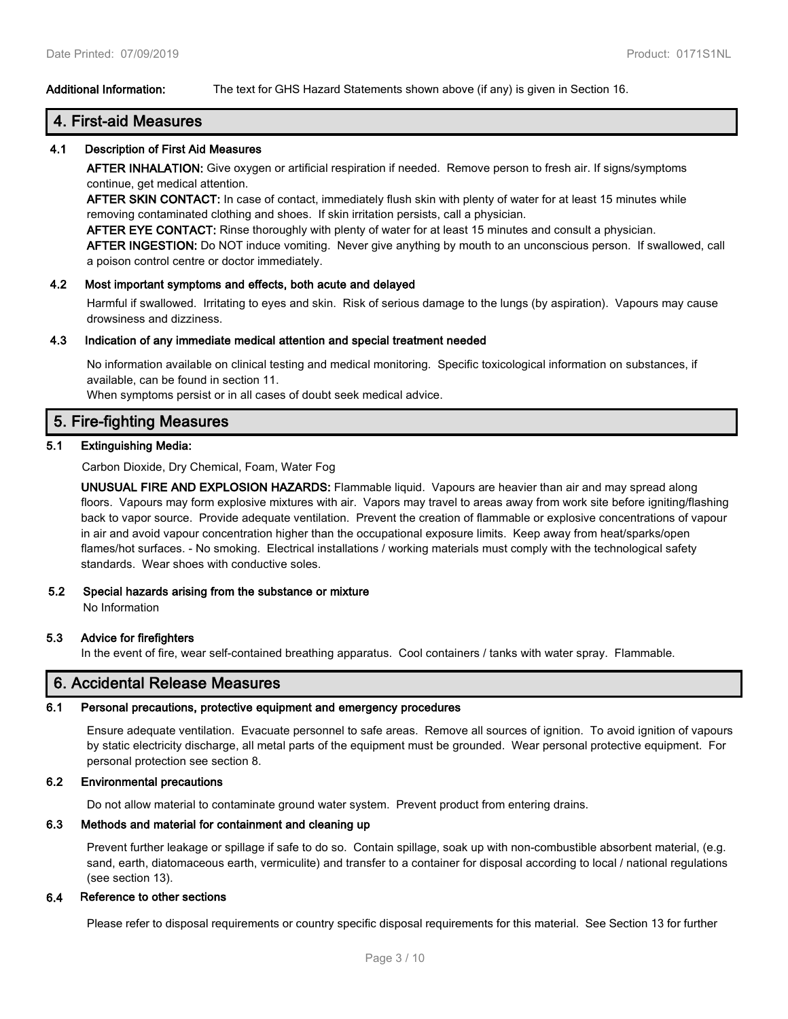## **Additional Information:** The text for GHS Hazard Statements shown above (if any) is given in Section 16.

## **4. First-aid Measures**

#### **4.1 Description of First Aid Measures**

**AFTER INHALATION:** Give oxygen or artificial respiration if needed. Remove person to fresh air. If signs/symptoms continue, get medical attention.

**AFTER SKIN CONTACT:** In case of contact, immediately flush skin with plenty of water for at least 15 minutes while removing contaminated clothing and shoes. If skin irritation persists, call a physician.

**AFTER EYE CONTACT:** Rinse thoroughly with plenty of water for at least 15 minutes and consult a physician. **AFTER INGESTION:** Do NOT induce vomiting. Never give anything by mouth to an unconscious person. If swallowed, call a poison control centre or doctor immediately.

#### **4.2 Most important symptoms and effects, both acute and delayed**

Harmful if swallowed. Irritating to eyes and skin. Risk of serious damage to the lungs (by aspiration). Vapours may cause drowsiness and dizziness.

#### **4.3 Indication of any immediate medical attention and special treatment needed**

No information available on clinical testing and medical monitoring. Specific toxicological information on substances, if available, can be found in section 11.

When symptoms persist or in all cases of doubt seek medical advice.

## **5. Fire-fighting Measures**

## **5.1 Extinguishing Media:**

Carbon Dioxide, Dry Chemical, Foam, Water Fog

**UNUSUAL FIRE AND EXPLOSION HAZARDS:** Flammable liquid. Vapours are heavier than air and may spread along floors. Vapours may form explosive mixtures with air. Vapors may travel to areas away from work site before igniting/flashing back to vapor source. Provide adequate ventilation. Prevent the creation of flammable or explosive concentrations of vapour in air and avoid vapour concentration higher than the occupational exposure limits. Keep away from heat/sparks/open flames/hot surfaces. - No smoking. Electrical installations / working materials must comply with the technological safety standards. Wear shoes with conductive soles.

#### **5.2 Special hazards arising from the substance or mixture**

No Information

#### **5.3 Advice for firefighters**

In the event of fire, wear self-contained breathing apparatus. Cool containers / tanks with water spray. Flammable.

## **6. Accidental Release Measures**

#### **6.1 Personal precautions, protective equipment and emergency procedures**

Ensure adequate ventilation. Evacuate personnel to safe areas. Remove all sources of ignition. To avoid ignition of vapours by static electricity discharge, all metal parts of the equipment must be grounded. Wear personal protective equipment. For personal protection see section 8.

#### **6.2 Environmental precautions**

Do not allow material to contaminate ground water system. Prevent product from entering drains.

#### **6.3 Methods and material for containment and cleaning up**

Prevent further leakage or spillage if safe to do so. Contain spillage, soak up with non-combustible absorbent material, (e.g. sand, earth, diatomaceous earth, vermiculite) and transfer to a container for disposal according to local / national regulations (see section 13).

#### **6.4 Reference to other sections**

Please refer to disposal requirements or country specific disposal requirements for this material. See Section 13 for further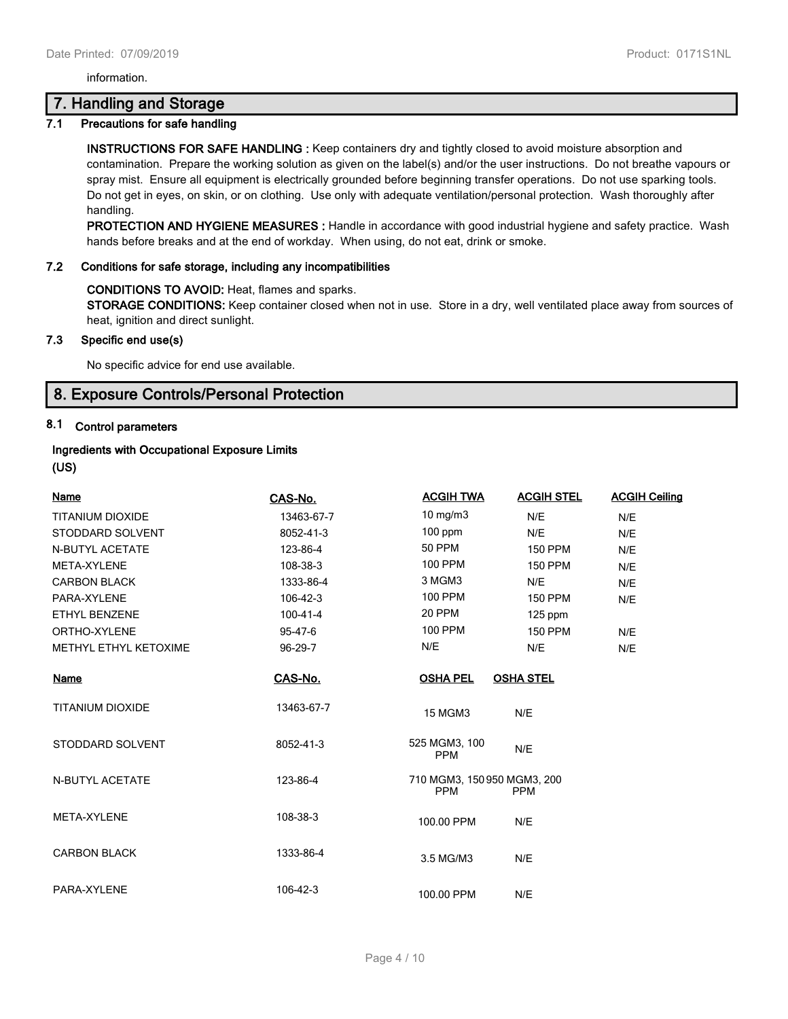information.

## **7. Handling and Storage**

## **7.1 Precautions for safe handling**

**INSTRUCTIONS FOR SAFE HANDLING :** Keep containers dry and tightly closed to avoid moisture absorption and contamination. Prepare the working solution as given on the label(s) and/or the user instructions. Do not breathe vapours or spray mist. Ensure all equipment is electrically grounded before beginning transfer operations. Do not use sparking tools. Do not get in eyes, on skin, or on clothing. Use only with adequate ventilation/personal protection. Wash thoroughly after handling.

**PROTECTION AND HYGIENE MEASURES :** Handle in accordance with good industrial hygiene and safety practice. Wash hands before breaks and at the end of workday. When using, do not eat, drink or smoke.

## **7.2 Conditions for safe storage, including any incompatibilities**

#### **CONDITIONS TO AVOID:** Heat, flames and sparks.

**STORAGE CONDITIONS:** Keep container closed when not in use. Store in a dry, well ventilated place away from sources of heat, ignition and direct sunlight.

## **7.3 Specific end use(s)**

No specific advice for end use available.

## **8. Exposure Controls/Personal Protection**

## **8.1 Control parameters**

## **Ingredients with Occupational Exposure Limits**

**(US)**

| Name                    |                | <b>ACGIH TWA</b>                          | <b>ACGIH STEL</b> | <b>ACGIH Ceiling</b> |
|-------------------------|----------------|-------------------------------------------|-------------------|----------------------|
|                         | CAS-No.        |                                           |                   |                      |
| <b>TITANIUM DIOXIDE</b> | 13463-67-7     | $10$ mg/m $3$                             | N/E               | N/E                  |
| STODDARD SOLVENT        | 8052-41-3      | $100$ ppm                                 | N/E               | N/E                  |
| <b>N-BUTYL ACETATE</b>  | 123-86-4       | <b>50 PPM</b>                             | <b>150 PPM</b>    | N/E                  |
| <b>META-XYLENE</b>      | 108-38-3       | <b>100 PPM</b>                            | <b>150 PPM</b>    | N/E                  |
| <b>CARBON BLACK</b>     | 1333-86-4      | 3 MGM3                                    | N/E               | N/E                  |
| PARA-XYLENE             | 106-42-3       | <b>100 PPM</b>                            | <b>150 PPM</b>    | N/E                  |
| <b>ETHYL BENZENE</b>    | $100 - 41 - 4$ | 20 PPM                                    | $125$ ppm         |                      |
| ORTHO-XYLENE            | 95-47-6        | 100 PPM                                   | <b>150 PPM</b>    | N/E                  |
| METHYL ETHYL KETOXIME   | 96-29-7        | N/E                                       | N/E               | N/E                  |
| <b>Name</b>             | CAS-No.        | <b>OSHA PEL</b>                           | <b>OSHA STEL</b>  |                      |
| <b>TITANIUM DIOXIDE</b> | 13463-67-7     | <b>15 MGM3</b>                            | N/E               |                      |
| STODDARD SOLVENT        | 8052-41-3      | 525 MGM3, 100<br><b>PPM</b>               | N/E               |                      |
| N-BUTYL ACETATE         | 123-86-4       | 710 MGM3, 150 950 MGM3, 200<br><b>PPM</b> | <b>PPM</b>        |                      |
| META-XYLENE             | 108-38-3       | 100.00 PPM                                | N/E               |                      |
| <b>CARBON BLACK</b>     | 1333-86-4      | 3.5 MG/M3                                 | N/E               |                      |
| PARA-XYLENE             | 106-42-3       | 100.00 PPM                                | N/E               |                      |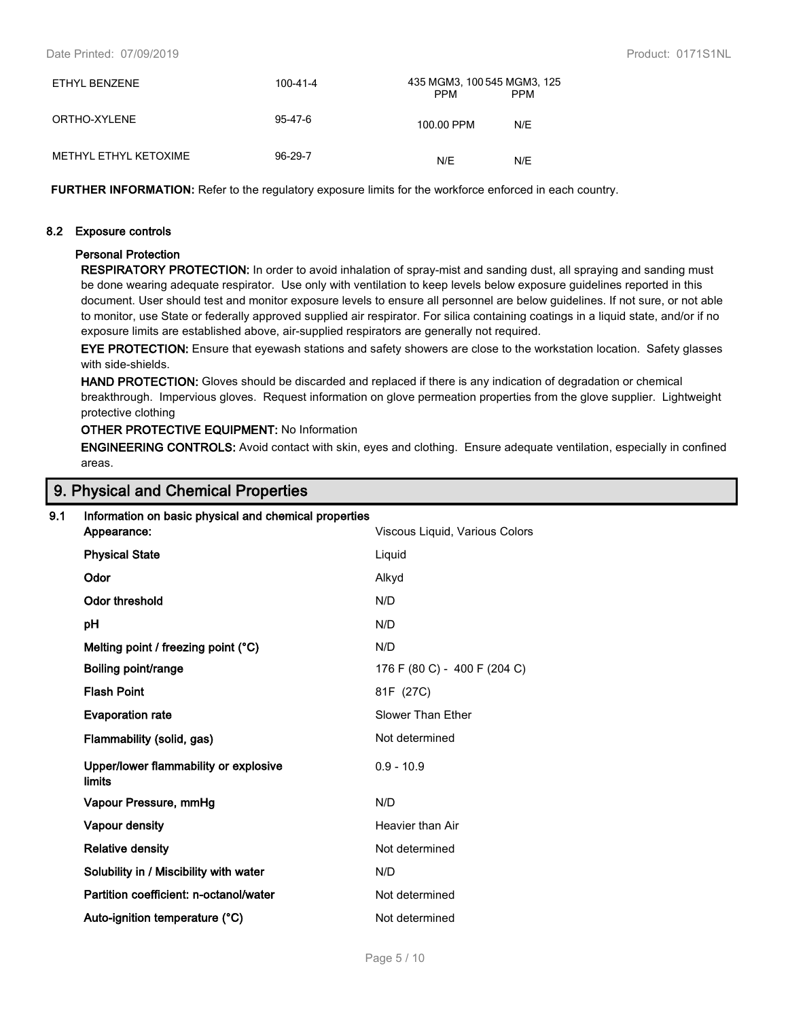| ETHYL BENZENE         | 100-41-4 | 435 MGM3, 100 545 MGM3, 125<br><b>PPM</b> | <b>PPM</b> |
|-----------------------|----------|-------------------------------------------|------------|
| ORTHO-XYLENE          | 95-47-6  | 100.00 PPM                                | N/F        |
| METHYL ETHYL KETOXIME | 96-29-7  | N/E                                       | N/F        |

**FURTHER INFORMATION:** Refer to the regulatory exposure limits for the workforce enforced in each country.

#### **8.2 Exposure controls**

#### **Personal Protection**

**RESPIRATORY PROTECTION:** In order to avoid inhalation of spray-mist and sanding dust, all spraying and sanding must be done wearing adequate respirator. Use only with ventilation to keep levels below exposure guidelines reported in this document. User should test and monitor exposure levels to ensure all personnel are below guidelines. If not sure, or not able to monitor, use State or federally approved supplied air respirator. For silica containing coatings in a liquid state, and/or if no exposure limits are established above, air-supplied respirators are generally not required.

**EYE PROTECTION:** Ensure that eyewash stations and safety showers are close to the workstation location. Safety glasses with side-shields.

**HAND PROTECTION:** Gloves should be discarded and replaced if there is any indication of degradation or chemical breakthrough. Impervious gloves. Request information on glove permeation properties from the glove supplier. Lightweight protective clothing

#### **OTHER PROTECTIVE EQUIPMENT:** No Information

**ENGINEERING CONTROLS:** Avoid contact with skin, eyes and clothing. Ensure adequate ventilation, especially in confined areas.

## **9. Physical and Chemical Properties**

# **9.1 Information on basic physical and chemical properties Appearance:** Viscous Liquid, Various Colors

| <b>Physical State</b>                           | Liquid                       |
|-------------------------------------------------|------------------------------|
| Odor                                            | Alkyd                        |
| Odor threshold                                  | N/D                          |
| рH                                              | N/D                          |
| Melting point / freezing point $(°C)$           | N/D                          |
| Boiling point/range                             | 176 F (80 C) - 400 F (204 C) |
| <b>Flash Point</b>                              | 81F (27C)                    |
| <b>Evaporation rate</b>                         | Slower Than Ether            |
| Flammability (solid, gas)                       | Not determined               |
| Upper/lower flammability or explosive<br>limits | $0.9 - 10.9$                 |
| Vapour Pressure, mmHg                           | N/D                          |
| <b>Vapour density</b>                           | Heavier than Air             |
| <b>Relative density</b>                         | Not determined               |
| Solubility in / Miscibility with water          | N/D                          |
| Partition coefficient: n-octanol/water          | Not determined               |
| Auto-ignition temperature (°C)                  | Not determined               |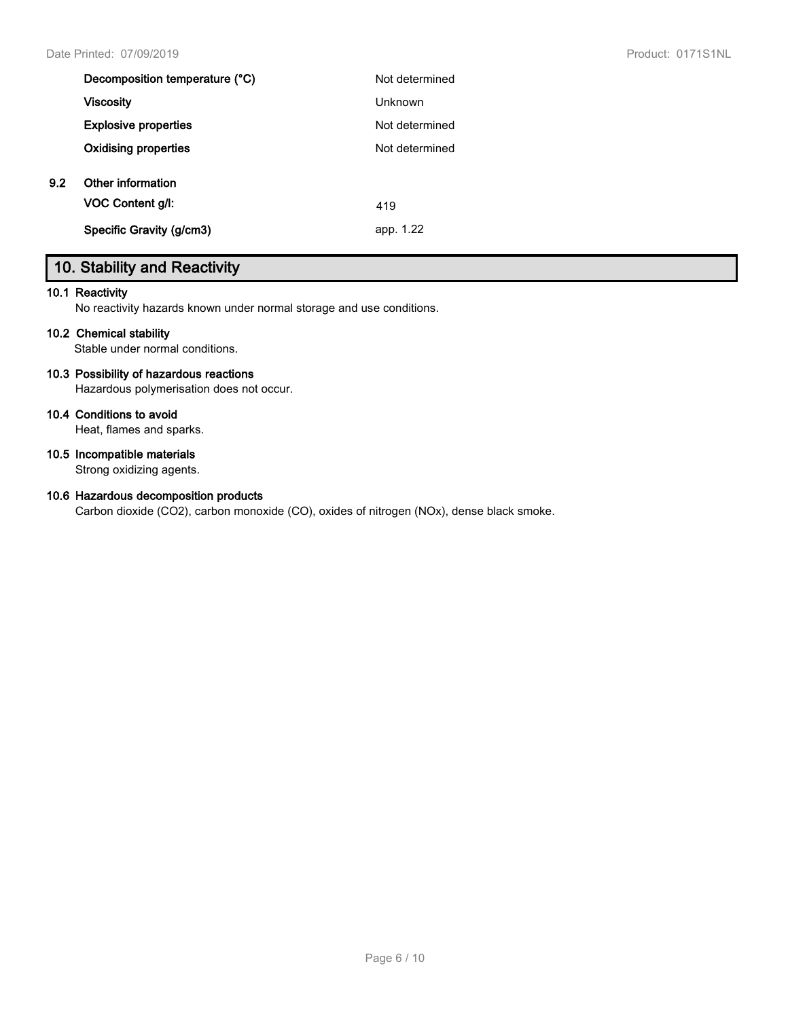|     | Decomposition temperature (°C) | Not determined |
|-----|--------------------------------|----------------|
|     | <b>Viscosity</b>               | <b>Unknown</b> |
|     | <b>Explosive properties</b>    | Not determined |
|     | <b>Oxidising properties</b>    | Not determined |
| 9.2 | Other information              |                |
|     | VOC Content g/l:               | 419            |
|     | Specific Gravity (g/cm3)       | app. 1.22      |
|     |                                |                |

# **10. Stability and Reactivity**

## **10.1 Reactivity**

No reactivity hazards known under normal storage and use conditions.

## **10.2 Chemical stability**

Stable under normal conditions.

## **10.3 Possibility of hazardous reactions**

Hazardous polymerisation does not occur.

## **10.4 Conditions to avoid**

Heat, flames and sparks.

## **10.5 Incompatible materials**

Strong oxidizing agents.

## **10.6 Hazardous decomposition products**

Carbon dioxide (CO2), carbon monoxide (CO), oxides of nitrogen (NOx), dense black smoke.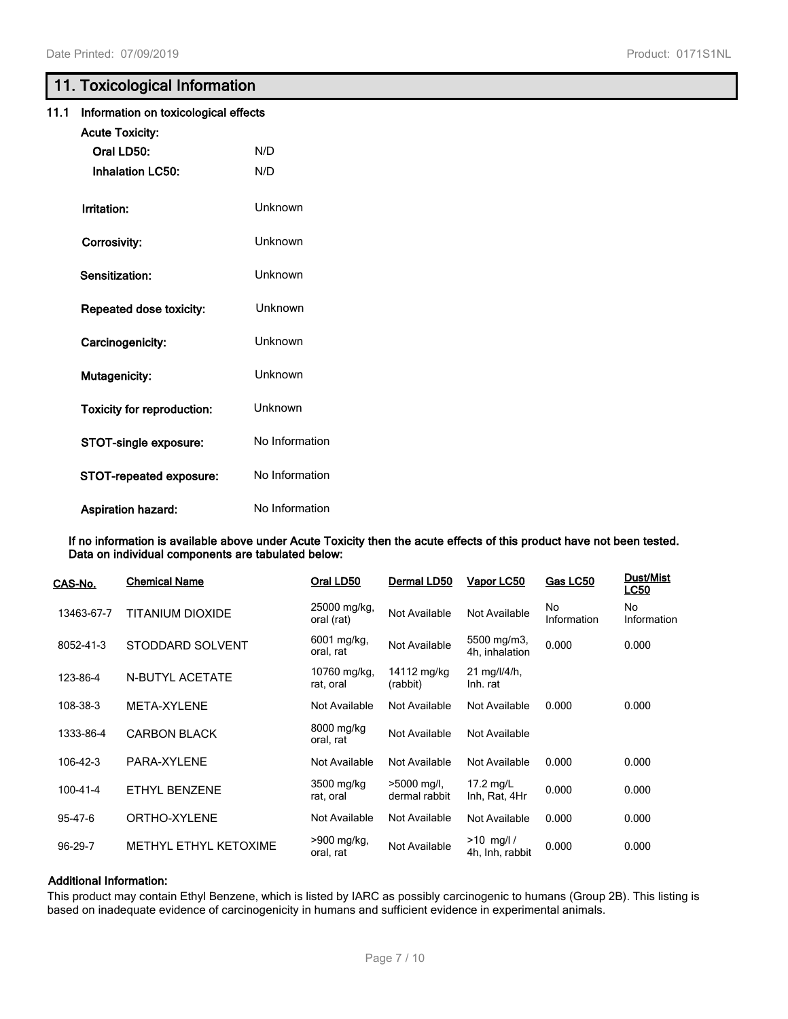# **11. Toxicological Information**

| 11.1 | Information on toxicological effects |                |  |
|------|--------------------------------------|----------------|--|
|      | <b>Acute Toxicity:</b>               |                |  |
|      | Oral LD50:                           | N/D            |  |
|      | <b>Inhalation LC50:</b>              | N/D            |  |
|      | Irritation:                          | Unknown        |  |
|      | Corrosivity:                         | Unknown        |  |
|      | <b>Sensitization:</b>                | Unknown        |  |
|      | Repeated dose toxicity:              | Unknown        |  |
|      | Carcinogenicity:                     | Unknown        |  |
|      | Mutagenicity:                        | Unknown        |  |
|      | <b>Toxicity for reproduction:</b>    | <b>Unknown</b> |  |
|      | STOT-single exposure:                | No Information |  |
|      | STOT-repeated exposure:              | No Information |  |
|      | <b>Aspiration hazard:</b>            | No Information |  |

**If no information is available above under Acute Toxicity then the acute effects of this product have not been tested. Data on individual components are tabulated below:**

| CAS-No.    | <b>Chemical Name</b>  | Oral LD50                  | Dermal LD50                  | Vapor LC50                      | Gas LC50          | <b>Dust/Mist</b><br><b>LC50</b> |
|------------|-----------------------|----------------------------|------------------------------|---------------------------------|-------------------|---------------------------------|
| 13463-67-7 | TITANIUM DIOXIDE      | 25000 mg/kg,<br>oral (rat) | Not Available                | Not Available                   | No<br>Information | No.<br>Information              |
| 8052-41-3  | STODDARD SOLVENT      | 6001 mg/kg,<br>oral, rat   | Not Available                | 5500 mg/m3,<br>4h, inhalation   | 0.000             | 0.000                           |
| 123-86-4   | N-BUTYL ACETATE       | 10760 mg/kg,<br>rat, oral  | 14112 mg/kg<br>(rabbit)      | 21 mg/l/4/h,<br>Inh. rat        |                   |                                 |
| 108-38-3   | META-XYLENE           | Not Available              | Not Available                | Not Available                   | 0.000             | 0.000                           |
| 1333-86-4  | <b>CARBON BLACK</b>   | 8000 mg/kg<br>oral, rat    | Not Available                | Not Available                   |                   |                                 |
| 106-42-3   | PARA-XYLENE           | Not Available              | Not Available                | Not Available                   | 0.000             | 0.000                           |
| 100-41-4   | ETHYL BENZENE         | 3500 mg/kg<br>rat, oral    | >5000 mg/l,<br>dermal rabbit | 17.2 mg/L<br>Inh, Rat, 4Hr      | 0.000             | 0.000                           |
| 95-47-6    | ORTHO-XYLENE          | Not Available              | Not Available                | Not Available                   | 0.000             | 0.000                           |
| 96-29-7    | METHYL ETHYL KETOXIME | >900 mg/kg,<br>oral, rat   | Not Available                | $>10$ mg/l /<br>4h, Inh, rabbit | 0.000             | 0.000                           |

## **Additional Information:**

This product may contain Ethyl Benzene, which is listed by IARC as possibly carcinogenic to humans (Group 2B). This listing is based on inadequate evidence of carcinogenicity in humans and sufficient evidence in experimental animals.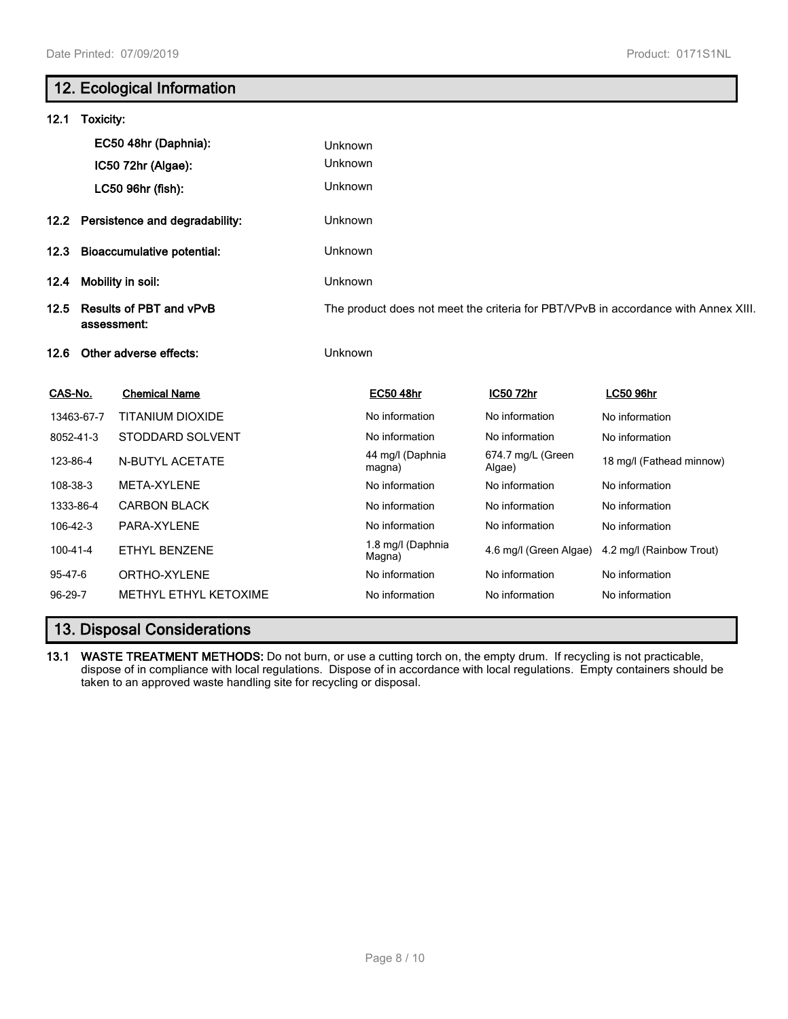# **12. Ecological Information 12.1 Toxicity: EC50 48hr (Daphnia):** Unknown **IC50 72hr (Algae):** Unknown **LC50 96hr (fish):** Unknown **12.2 Persistence and degradability:** Unknown **12.3 Bioaccumulative potential:** Unknown **12.4 Mobility in soil:** Unknown **12.5 Results of PBT and vPvB assessment:** The product does not meet the criteria for PBT/VPvB in accordance with Annex XIII. **12.6 Other adverse effects:** Unknown **CAS-No. Chemical Name EC50 48hr IC50 72hr LC50 96hr** 13463-67-7 TITANIUM DIOXIDE Noinformation No information No information No information 8052-41-3 STODDARD SOLVENT No information No information No information No information 123-86-4 N-BUTYL ACETATE 44 mg/l (Daphnia magna) 674.7 mg/L (Green 074.7 mg/L (Green 18 mg/l (Fathead minnow)<br>Algae) 108-38-3 META-XYLENE **No information** No information No information No information 1333-86-4 CARBON BLACK Notable 10 No information No information No information No information 106-42-3 PARA-XYLENE **No information** No information No information No information 100-41-4 ETHYL BENZENE 1.8 mg/l (Daphnia<br>
Magna) 4.6 mg/l (Green Algae) 4.2 mg/l (Rainbow Trout) 95-47-6 ORTHO-XYLENE **No information** No information No information No information 96-29-7 METHYL ETHYL KETOXIME No information No information No information No information

## **13. Disposal Considerations**

**13.1 WASTE TREATMENT METHODS:** Do not burn, or use a cutting torch on, the empty drum. If recycling is not practicable, dispose of in compliance with local regulations. Dispose of in accordance with local regulations. Empty containers should be taken to an approved waste handling site for recycling or disposal.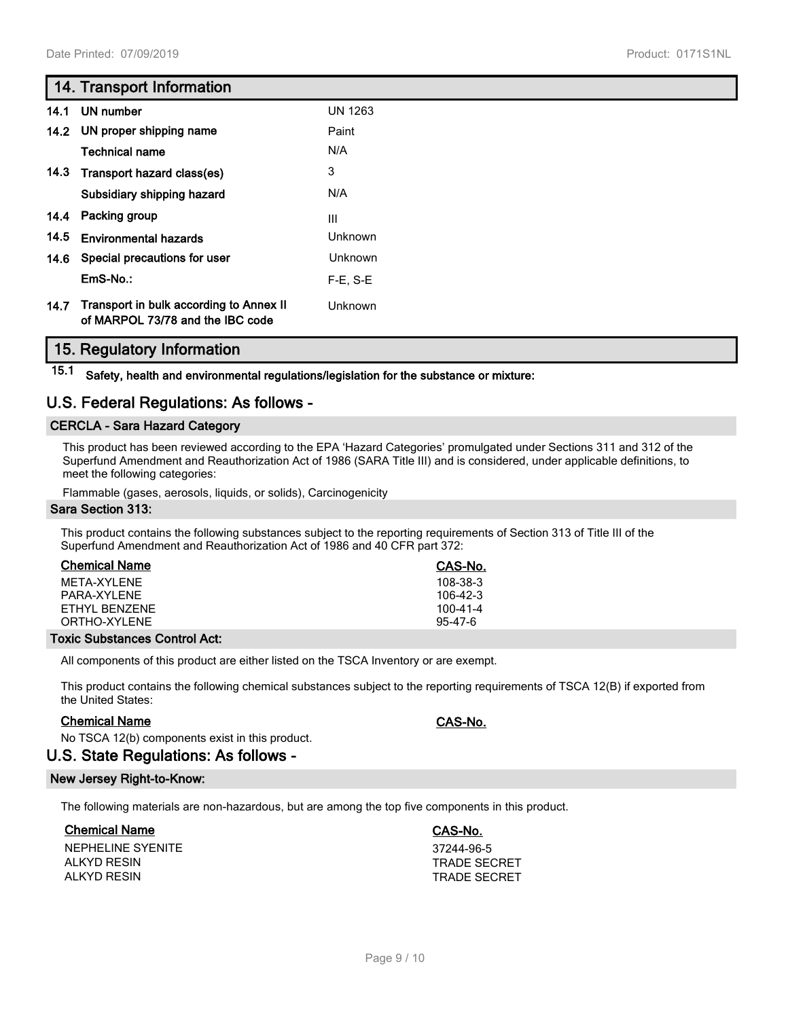# **14. Transport Information**

| 14.1 | <b>UN number</b>                                                            | <b>UN 1263</b> |
|------|-----------------------------------------------------------------------------|----------------|
|      | 14.2 UN proper shipping name                                                | Paint          |
|      | <b>Technical name</b>                                                       | N/A            |
|      | 14.3 Transport hazard class(es)                                             | 3              |
|      | Subsidiary shipping hazard                                                  | N/A            |
|      | 14.4 Packing group                                                          | III            |
| 14.5 | <b>Environmental hazards</b>                                                | Unknown        |
|      | 14.6 Special precautions for user                                           | Unknown        |
|      | EmS-No.:                                                                    | $F-E. S-E$     |
| 14.7 | Transport in bulk according to Annex II<br>of MARPOL 73/78 and the IBC code | Unknown        |

## **15. Regulatory Information**

**15.1 Safety, health and environmental regulations/legislation for the substance or mixture:**

## **U.S. Federal Regulations: As follows -**

## **CERCLA - Sara Hazard Category**

This product has been reviewed according to the EPA 'Hazard Categories' promulgated under Sections 311 and 312 of the Superfund Amendment and Reauthorization Act of 1986 (SARA Title III) and is considered, under applicable definitions, to meet the following categories:

Flammable (gases, aerosols, liquids, or solids), Carcinogenicity

#### **Sara Section 313:**

This product contains the following substances subject to the reporting requirements of Section 313 of Title III of the Superfund Amendment and Reauthorization Act of 1986 and 40 CFR part 372:

| <b>Chemical Name</b> | CAS-No.   |
|----------------------|-----------|
| MFTA-XYI FNF         | 108-38-3  |
| PARA-XYI FNF         | 106-42-3  |
| FTHYL BENZENE        | 100-41-4  |
| ORTHO-XYLENE         | $95-47-6$ |

### **Toxic Substances Control Act:**

All components of this product are either listed on the TSCA Inventory or are exempt.

This product contains the following chemical substances subject to the reporting requirements of TSCA 12(B) if exported from the United States:

## **Chemical Name CAS-No.**

No TSCA 12(b) components exist in this product.

## **U.S. State Regulations: As follows -**

## **New Jersey Right-to-Know:**

The following materials are non-hazardous, but are among the top five components in this product.

## **Chemical Name CAS-No.**

NEPHELINE SYENITE 37244-96-5 ALKYD RESIN TRADE SECRET ALKYD RESIN TRADE SECRET